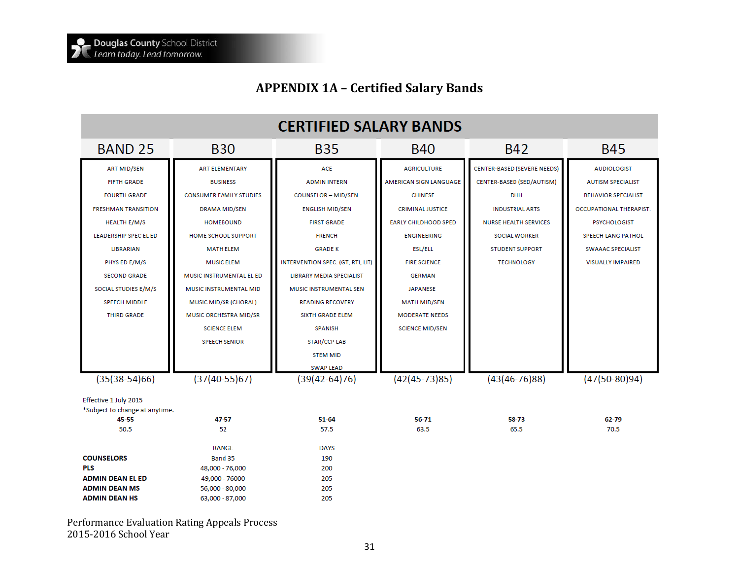## **APPENDIX 1A – Certified Salary Bands**

| <b>CERTIFIED SALARY BANDS</b>                           |                                    |                                   |                             |                              |                            |  |
|---------------------------------------------------------|------------------------------------|-----------------------------------|-----------------------------|------------------------------|----------------------------|--|
| <b>BAND 25</b>                                          | <b>B30</b>                         | <b>B35</b>                        |                             | <b>B42</b>                   | <b>B45</b>                 |  |
| <b>ART MID/SEN</b>                                      | <b>ART ELEMENTARY</b>              | <b>ACE</b>                        | <b>AGRICULTURE</b>          | CENTER-BASED (SEVERE NEEDS)  | <b>AUDIOLOGIST</b>         |  |
| <b>FIFTH GRADE</b>                                      | <b>BUSINESS</b>                    | <b>ADMIN INTERN</b>               | AMERICAN SIGN LANGUAGE      | CENTER-BASED (SED/AUTISM)    | <b>AUTISM SPECIALIST</b>   |  |
| <b>FOURTH GRADE</b>                                     | <b>CONSUMER FAMILY STUDIES</b>     | COUNSELOR - MID/SEN               | <b>CHINESE</b>              | <b>DHH</b>                   | <b>BEHAVIOR SPECIALIST</b> |  |
| <b>FRESHMAN TRANSITION</b>                              | DRAMA MID/SEN                      | <b>ENGLISH MID/SEN</b>            | <b>CRIMINAL JUSTICE</b>     | <b>INDUSTRIAL ARTS</b>       | OCCUPATIONAL THERAPIST.    |  |
| <b>HEALTH E/M/S</b>                                     | <b>HOMEBOUND</b>                   | <b>FIRST GRADE</b>                | <b>EARLY CHILDHOOD SPED</b> | <b>NURSE HEALTH SERVICES</b> | <b>PSYCHOLOGIST</b>        |  |
| <b>LEADERSHIP SPEC EL ED</b>                            | <b>HOME SCHOOL SUPPORT</b>         | <b>FRENCH</b>                     | <b>ENGINEERING</b>          | <b>SOCIAL WORKER</b>         | SPEECH LANG PATHOL         |  |
| <b>LIBRARIAN</b>                                        | <b>MATH ELEM</b>                   | <b>GRADE K</b>                    | ESL/ELL                     | <b>STUDENT SUPPORT</b>       | <b>SWAAAC SPECIALIST</b>   |  |
| PHYS ED E/M/S                                           | <b>MUSIC ELEM</b>                  | INTERVENTION SPEC. (GT, RTI, LIT) | <b>FIRE SCIENCE</b>         | <b>TECHNOLOGY</b>            | <b>VISUALLY IMPAIRED</b>   |  |
| <b>SECOND GRADE</b>                                     | MUSIC INSTRUMENTAL EL ED           | <b>LIBRARY MEDIA SPECIALIST</b>   | <b>GERMAN</b>               |                              |                            |  |
| SOCIAL STUDIES E/M/S                                    | <b>MUSIC INSTRUMENTAL MID</b>      | <b>MUSIC INSTRUMENTAL SEN</b>     | <b>JAPANESE</b>             |                              |                            |  |
| <b>SPEECH MIDDLE</b>                                    | MUSIC MID/SR (CHORAL)              | <b>READING RECOVERY</b>           | <b>MATH MID/SEN</b>         |                              |                            |  |
| <b>THIRD GRADE</b>                                      | MUSIC ORCHESTRA MID/SR             | <b>SIXTH GRADE ELEM</b>           | <b>MODERATE NEEDS</b>       |                              |                            |  |
|                                                         | <b>SCIENCE ELEM</b>                | <b>SPANISH</b>                    | <b>SCIENCE MID/SEN</b>      |                              |                            |  |
|                                                         | <b>SPEECH SENIOR</b>               | <b>STAR/CCP LAB</b>               |                             |                              |                            |  |
|                                                         |                                    | <b>STEM MID</b>                   |                             |                              |                            |  |
| <b>SWAP LEAD</b>                                        |                                    |                                   |                             |                              |                            |  |
| $(35(38-54)66)$                                         | $(37(40-55)67)$<br>$(39(42-64)76)$ |                                   | $(42(45-73)85)$             | $(43(46-76)88)$              | $(47(50-80)94)$            |  |
| Effective 1 July 2015<br>*Subject to change at anytime. |                                    |                                   |                             |                              |                            |  |
| 45-55                                                   | 47-57                              | $51 - 64$                         | 56-71                       | 58-73                        | 62-79                      |  |
| 50.5                                                    | 52                                 | 57.5                              | 63.5                        | 65.5                         | 70.5                       |  |
|                                                         | <b>RANGE</b>                       | <b>DAYS</b>                       |                             |                              |                            |  |
| <b>COUNSELORS</b><br>Band 35<br>190                     |                                    |                                   |                             |                              |                            |  |
| <b>PLS</b>                                              | 48,000 - 76,000                    | 200                               |                             |                              |                            |  |
| <b>ADMIN DEAN EL ED</b>                                 | 49,000 - 76000                     | 205                               |                             |                              |                            |  |
| <b>ADMIN DEAN MS</b>                                    | 56,000 - 80,000                    | 205                               |                             |                              |                            |  |
| <b>ADMIN DEAN HS</b>                                    | 205<br>63,000 - 87,000             |                                   |                             |                              |                            |  |

Performance Evaluation Rating Appeals Process 2015-2016 School Year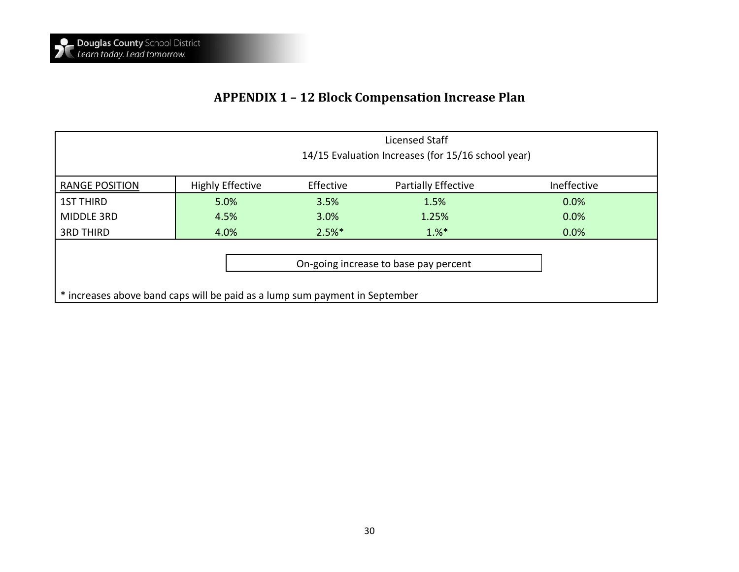## **APPENDIX 1 – 12 Block Compensation Increase Plan**

|                                                                             | Licensed Staff<br>14/15 Evaluation Increases (for 15/16 school year) |           |                     |             |  |
|-----------------------------------------------------------------------------|----------------------------------------------------------------------|-----------|---------------------|-------------|--|
| <b>RANGE POSITION</b>                                                       | <b>Highly Effective</b>                                              | Effective | Partially Effective | Ineffective |  |
| <b>1ST THIRD</b>                                                            | 5.0%                                                                 | 3.5%      | 1.5%                | 0.0%        |  |
| <b>MIDDLE 3RD</b>                                                           | 4.5%                                                                 | 3.0%      | 1.25%               | 0.0%        |  |
| <b>3RD THIRD</b>                                                            | 4.0%                                                                 | $2.5%$ *  | $1.%^*$             | 0.0%        |  |
| On-going increase to base pay percent                                       |                                                                      |           |                     |             |  |
| * increases above band caps will be paid as a lump sum payment in September |                                                                      |           |                     |             |  |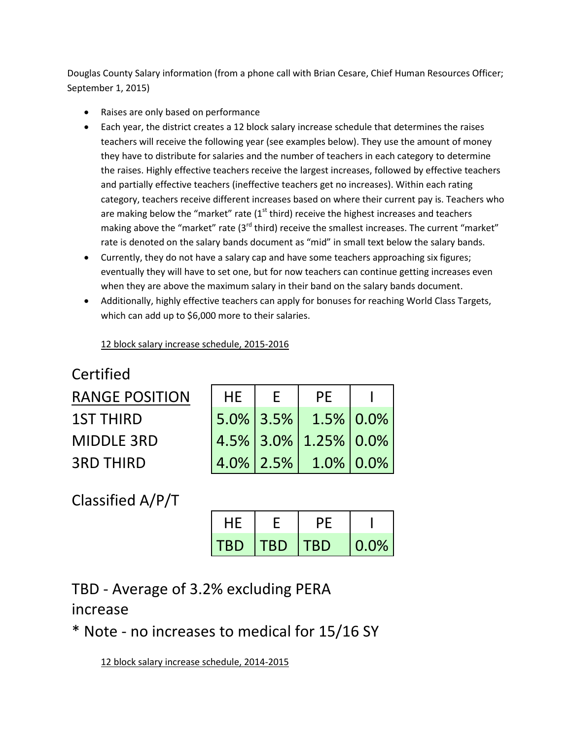Douglas County Salary information (from a phone call with Brian Cesare, Chief Human Resources Officer; September 1, 2015)

- Raises are only based on performance
- Each year, the district creates a 12 block salary increase schedule that determines the raises teachers will receive the following year (see examples below). They use the amount of money they have to distribute for salaries and the number of teachers in each category to determine the raises. Highly effective teachers receive the largest increases, followed by effective teachers and partially effective teachers (ineffective teachers get no increases). Within each rating category, teachers receive different increases based on where their current pay is. Teachers who are making below the "market" rate  $(1<sup>st</sup>$  third) receive the highest increases and teachers making above the "market" rate (3<sup>rd</sup> third) receive the smallest increases. The current "market" rate is denoted on the salary bands document as "mid" in small text below the salary bands.
- Currently, they do not have a salary cap and have some teachers approaching six figures; eventually they will have to set one, but for now teachers can continue getting increases even when they are above the maximum salary in their band on the salary bands document.
- Additionally, highly effective teachers can apply for bonuses for reaching World Class Targets, which can add up to \$6,000 more to their salaries.

12 block salary increase schedule, 2015-2016

Certified RANGE POSITION **1ST THIRD** MIDDLE 3RD

| <b>HE</b> | $\mathsf{F}$ | <b>PE</b>              |  |
|-----------|--------------|------------------------|--|
|           |              | $5.0\%$ 3.5% 1.5% 0.0% |  |
|           |              | 4.5% 3.0% 1.25% 0.0%   |  |
|           |              | $4.0\%$ 2.5% 1.0% 0.0% |  |

Classified A/P/T

3RD THIRD

| HE.        |            | レト         |      |
|------------|------------|------------|------|
| <b>TBD</b> | <b>TBD</b> | <b>TBD</b> | 0.0% |

TBD - Average of 3.2% excluding PERA increase

\* Note - no increases to medical for 15/16 SY

12 block salary increase schedule, 2014-2015